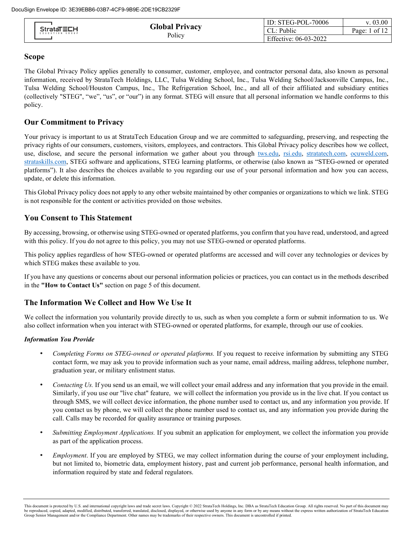| <b>StrataTECH</b><br>EDUCATION GROUP |                       | ID: STEG-POL-70006    | v. 03.00          |
|--------------------------------------|-----------------------|-----------------------|-------------------|
|                                      | <b>Global Privacy</b> | L: Public             | Page: $1$ of $12$ |
|                                      | Policy                | Effective: 06-03-2022 |                   |

## **Scope**

The Global Privacy Policy applies generally to consumer, customer, employee, and contractor personal data, also known as personal information, received by StrataTech Holdings, LLC, Tulsa Welding School, Inc., Tulsa Welding School/Jacksonville Campus, Inc., Tulsa Welding School/Houston Campus, Inc., The Refrigeration School, Inc., and all of their affiliated and subsidiary entities (collectively "STEG", "we", "us", or "our") in any format. STEG will ensure that all personal information we handle conforms to this policy.

# **Our Commitment to Privacy**

Your privacy is important to us at StrataTech Education Group and we are committed to safeguarding, preserving, and respecting the privacy rights of our consumers, customers, visitors, employees, and contractors. This Global Privacy policy describes how we collect, use, disclose, and secure the personal information we gather about you through [tws.edu,](https://www.tws.edu/) [rsi.edu,](https://www.rsi.edu/) [stratatech.com,](https://www.stratatech.com/) [ocuweld.com,](https://www.ocuweld.com/) [strataskills.com,](https://www.strataskills.com/) STEG software and applications, STEG learning platforms, or otherwise (also known as "STEG-owned or operated platforms"). It also describes the choices available to you regarding our use of your personal information and how you can access, update, or delete this information.

This Global Privacy policy does not apply to any other website maintained by other companies or organizations to which we link. STEG is not responsible for the content or activities provided on those websites.

### **You Consent to This Statement**

By accessing, browsing, or otherwise using STEG-owned or operated platforms, you confirm that you have read, understood, and agreed with this policy. If you do not agree to this policy, you may not use STEG-owned or operated platforms.

This policy applies regardless of how STEG-owned or operated platforms are accessed and will cover any technologies or devices by which STEG makes these available to you.

If you have any questions or concerns about our personal information policies or practices, you can contact us in the methods described in the **"How to Contact Us"** section on page 5 of this document.

# **The Information We Collect and How We Use It**

We collect the information you voluntarily provide directly to us, such as when you complete a form or submit information to us. We also collect information when you interact with STEG-owned or operated platforms, for example, through our use of cookies.

#### *Information You Provide*

- *Completing Forms on STEG-owned or operated platforms.* If you request to receive information by submitting any STEG contact form, we may ask you to provide information such as your name, email address, mailing address, telephone number, graduation year, or military enlistment status.
- *Contacting Us.* If you send us an email, we will collect your email address and any information that you provide in the email. Similarly, if you use our "live chat" feature, we will collect the information you provide us in the live chat. If you contact us through SMS, we will collect device information, the phone number used to contact us, and any information you provide. If you contact us by phone, we will collect the phone number used to contact us, and any information you provide during the call. Calls may be recorded for quality assurance or training purposes.
- *Submitting Employment Applications.* If you submit an application for employment, we collect the information you provide as part of the application process.
- *Employment*. If you are employed by STEG, we may collect information during the course of your employment including, but not limited to, biometric data, employment history, past and current job performance, personal health information, and information required by state and federal regulators.

This document is protected by U.S. and international copyright laws and trade secret laws. Copyright © 2022 StrataTech Holdings, Inc. DBA as StrataTech Education Group. All rights reserved. No part of this document may be reproduced, copied, adapted, modified, distributed, transferred, translated, disclosed, displayed, or otherwise used by anyone in any form or by any means without the express written authorization of StrataTech Educatio Group Senior Management and/or the Compliance Department. Other names may be trademarks of their respective owners. This document is uncontrolled if printed.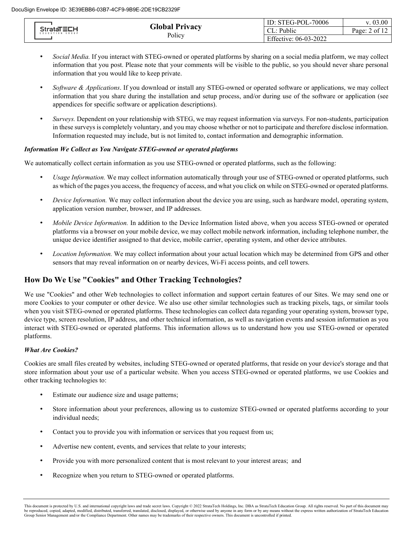| <b>StrataTECH</b><br>EDUCATION GROUP |                       | ID: STEG-POL-70006    | v. 03.00        |
|--------------------------------------|-----------------------|-----------------------|-----------------|
|                                      | <b>Global Privacy</b> | Public<br>CL:         | Page: $2$ of 12 |
|                                      | Policy                | Effective: 06-03-2022 |                 |

- *Social Media.* If you interact with STEG-owned or operated platforms by sharing on a social media platform, we may collect information that you post. Please note that your comments will be visible to the public, so you should never share personal information that you would like to keep private.
- *Software & Applications*. If you download or install any STEG-owned or operated software or applications, we may collect information that you share during the installation and setup process, and/or during use of the software or application (see appendices for specific software or application descriptions).
- *Surveys.* Dependent on your relationship with STEG, we may request information via surveys. For non-students, participation in these surveys is completely voluntary, and you may choose whether or not to participate and therefore disclose information. Information requested may include, but is not limited to, contact information and demographic information.

# *Information We Collect as You Navigate STEG-owned or operated platforms*

We automatically collect certain information as you use STEG-owned or operated platforms, such as the following:

- *Usage Information.* We may collect information automatically through your use of STEG-owned or operated platforms, such as which of the pages you access, the frequency of access, and what you click on while on STEG-owned or operated platforms.
- *Device Information*. We may collect information about the device you are using, such as hardware model, operating system, application version number, browser, and IP addresses.
- *Mobile Device Information.* In addition to the Device Information listed above, when you access STEG-owned or operated platforms via a browser on your mobile device, we may collect mobile network information, including telephone number, the unique device identifier assigned to that device, mobile carrier, operating system, and other device attributes.
- *Location Information.* We may collect information about your actual location which may be determined from GPS and other sensors that may reveal information on or nearby devices, Wi-Fi access points, and cell towers.

# **How Do We Use "Cookies" and Other Tracking Technologies?**

We use "Cookies" and other Web technologies to collect information and support certain features of our Sites. We may send one or more Cookies to your computer or other device. We also use other similar technologies such as tracking pixels, tags, or similar tools when you visit STEG-owned or operated platforms. These technologies can collect data regarding your operating system, browser type, device type, screen resolution, IP address, and other technical information, as well as navigation events and session information as you interact with STEG-owned or operated platforms. This information allows us to understand how you use STEG-owned or operated platforms.

#### *What Are Cookies?*

Cookies are small files created by websites, including STEG-owned or operated platforms, that reside on your device's storage and that store information about your use of a particular website. When you access STEG-owned or operated platforms, we use Cookies and other tracking technologies to:

- Estimate our audience size and usage patterns;
- Store information about your preferences, allowing us to customize STEG-owned or operated platforms according to your individual needs;
- Contact you to provide you with information or services that you request from us;
- Advertise new content, events, and services that relate to your interests;
- Provide you with more personalized content that is most relevant to your interest areas; and
- Recognize when you return to STEG-owned or operated platforms.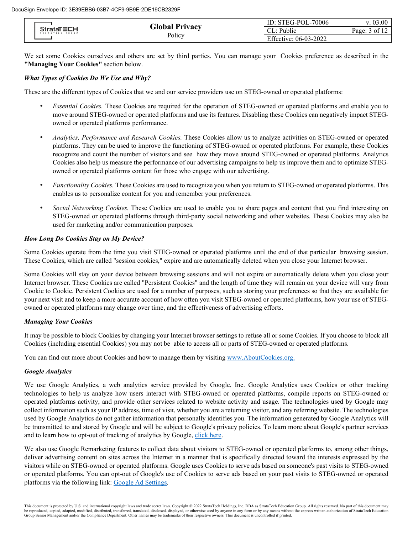| <b>StrataTECH</b><br>EDUCATION GROUP |                       | ID: $STEG-POL-70006$  | 3.00          |
|--------------------------------------|-----------------------|-----------------------|---------------|
|                                      | <b>Global Privacy</b> | $\sim$ L: Public      | Page: 3 of 12 |
|                                      | Policy                | Effective: 06-03-2022 |               |

We set some Cookies ourselves and others are set by third parties. You can manage your Cookies preference as described in the **"Managing Your Cookies"** section below.

# *What Types of Cookies Do We Use and Why?*

These are the different types of Cookies that we and our service providers use on STEG-owned or operated platforms:

- *Essential Cookies.* These Cookies are required for the operation of STEG-owned or operated platforms and enable you to move around STEG-owned or operated platforms and use its features. Disabling these Cookies can negatively impact STEGowned or operated platforms performance.
- *Analytics, Performance and Research Cookies.* These Cookies allow us to analyze activities on STEG-owned or operated platforms. They can be used to improve the functioning of STEG-owned or operated platforms. For example, these Cookies recognize and count the number of visitors and see how they move around STEG-owned or operated platforms. Analytics Cookies also help us measure the performance of our advertising campaigns to help us improve them and to optimize STEGowned or operated platforms content for those who engage with our advertising.
- *Functionality Cookies.* These Cookies are used to recognize you when you return to STEG-owned or operated platforms. This enables us to personalize content for you and remember your preferences.
- *Social Networking Cookies.* These Cookies are used to enable you to share pages and content that you find interesting on STEG-owned or operated platforms through third-party social networking and other websites. These Cookies may also be used for marketing and/or communication purposes.

#### *How Long Do Cookies Stay on My Device?*

Some Cookies operate from the time you visit STEG-owned or operated platforms until the end of that particular browsing session. These Cookies, which are called "session cookies," expire and are automatically deleted when you close your Internet browser.

Some Cookies will stay on your device between browsing sessions and will not expire or automatically delete when you close your Internet browser. These Cookies are called "Persistent Cookies" and the length of time they will remain on your device will vary from Cookie to Cookie. Persistent Cookies are used for a number of purposes, such as storing your preferences so that they are available for your next visit and to keep a more accurate account of how often you visit STEG-owned or operated platforms, how your use of STEGowned or operated platforms may change over time, and the effectiveness of advertising efforts.

### *Managing Your Cookies*

It may be possible to block Cookies by changing your Internet browser settings to refuse all or some Cookies. If you choose to block all Cookies (including essential Cookies) you may not be able to access all or parts of STEG-owned or operated platforms.

You can find out more about Cookies and how to manage them by visiting [www.AboutCookies.org.](http://www.aboutcookies.org./)

### *Google Analytics*

We use Google Analytics, a web analytics service provided by Google, Inc. Google Analytics uses Cookies or other tracking technologies to help us analyze how users interact with STEG-owned or operated platforms, compile reports on STEG-owned or operated platforms activity, and provide other services related to website activity and usage. The technologies used by Google may collect information such as your IP address, time of visit, whether you are a returning visitor, and any referring website. The technologies used by Google Analytics do not gather information that personally identifies you. The information generated by Google Analytics will be transmitted to and stored by Google and will be subject to Google's privacy policies. To learn more about Google's partner services and to learn how to opt-out of tracking of analytics by Google, [click here.](https://policies.google.com/privacy?hl=en-US)

We also use Google Remarketing features to collect data about visitors to STEG-owned or operated platforms to, among other things, deliver advertising content on sites across the Internet in a manner that is specifically directed toward the interests expressed by the visitors while on STEG-owned or operated platforms. Google uses Cookies to serve ads based on someone's past visits to STEG-owned or operated platforms. You can opt-out of Google's use of Cookies to serve ads based on your past visits to STEG-owned or operated platforms via the following link: [Google Ad Settings.](https://adssettings.google.com/authenticated) 

This document is protected by U.S. and international copyright laws and trade secret laws. Copyright © 2022 StrataTech Holdings, Inc. DBA as StrataTech Education Group. All rights reserved. No part of this document may be reproduced, copied, adapted, modified, distributed, transferred, translated, disclosed, displayed, or otherwise used by anyone in any form or by any means without the express written authorization of StrataTech Educatio Group Senior Management and/or the Compliance Department. Other names may be trademarks of their respective owners. This document is uncontrolled if printed.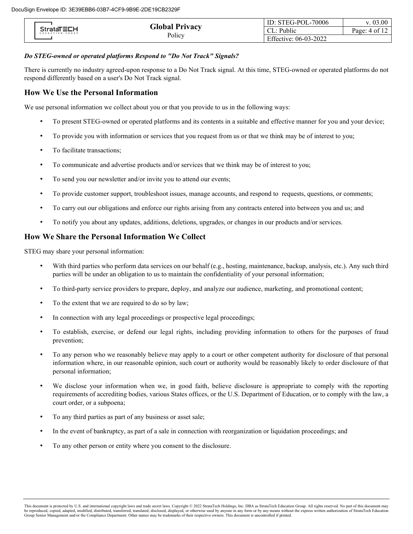| <b>StrataTECH</b><br>EDUCATION GROUP |                       | ID: STEG-POL-70006    | 0.00                 |
|--------------------------------------|-----------------------|-----------------------|----------------------|
|                                      | <b>Global Privacy</b> | L: Public             | Page: 4 of $1\angle$ |
|                                      | Policy                | Effective: 06-03-2022 |                      |

# *Do STEG-owned or operated platforms Respond to "Do Not Track" Signals?*

There is currently no industry agreed-upon response to a Do Not Track signal. At this time, STEG-owned or operated platforms do not respond differently based on a user's Do Not Track signal.

# **How We Use the Personal Information**

We use personal information we collect about you or that you provide to us in the following ways:

- To present STEG-owned or operated platforms and its contents in a suitable and effective manner for you and your device;
- To provide you with information or services that you request from us or that we think may be of interest to you;
- To facilitate transactions;
- To communicate and advertise products and/or services that we think may be of interest to you;
- To send you our newsletter and/or invite you to attend our events;
- To provide customer support, troubleshoot issues, manage accounts, and respond to requests, questions, or comments;
- To carry out our obligations and enforce our rights arising from any contracts entered into between you and us; and
- To notify you about any updates, additions, deletions, upgrades, or changes in our products and/or services.

# **How We Share the Personal Information We Collect**

STEG may share your personal information:

- With third parties who perform data services on our behalf (e.g., hosting, maintenance, backup, analysis, etc.). Any such third parties will be under an obligation to us to maintain the confidentiality of your personal information;
- To third-party service providers to prepare, deploy, and analyze our audience, marketing, and promotional content;
- To the extent that we are required to do so by law;
- In connection with any legal proceedings or prospective legal proceedings;
- To establish, exercise, or defend our legal rights, including providing information to others for the purposes of fraud prevention;
- To any person who we reasonably believe may apply to a court or other competent authority for disclosure of that personal information where, in our reasonable opinion, such court or authority would be reasonably likely to order disclosure of that personal information;
- We disclose your information when we, in good faith, believe disclosure is appropriate to comply with the reporting requirements of accrediting bodies, various States offices, or the U.S. Department of Education, or to comply with the law, a court order, or a subpoena;
- To any third parties as part of any business or asset sale;
- In the event of bankruptcy, as part of a sale in connection with reorganization or liquidation proceedings; and
- To any other person or entity where you consent to the disclosure.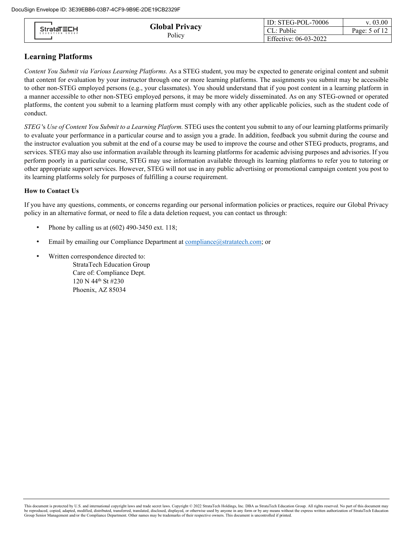| <b>StrataTECH</b><br>EDUCATION GROUP |                       | ID: STEG-POL-70006    | 0.03.00              |
|--------------------------------------|-----------------------|-----------------------|----------------------|
|                                      | <b>Global Privacy</b> | .: Public             | Page: 5 of $1\angle$ |
|                                      | Policy                | Effective: 06-03-2022 |                      |

# **Learning Platforms**

*Content You Submit via Various Learning Platforms.* As a STEG student, you may be expected to generate original content and submit that content for evaluation by your instructor through one or more learning platforms. The assignments you submit may be accessible to other non-STEG employed persons (e.g., your classmates). You should understand that if you post content in a learning platform in a manner accessible to other non-STEG employed persons, it may be more widely disseminated. As on any STEG-owned or operated platforms, the content you submit to a learning platform must comply with any other applicable policies, such as the student code of conduct.

*STEG* 's *Use of Content You Submit to a Learning Platform.* STEG uses the content you submit to any of our learning platforms primarily to evaluate your performance in a particular course and to assign you a grade. In addition, feedback you submit during the course and the instructor evaluation you submit at the end of a course may be used to improve the course and other STEG products, programs, and services. STEG may also use information available through its learning platforms for academic advising purposes and advisories. If you perform poorly in a particular course, STEG may use information available through its learning platforms to refer you to tutoring or other appropriate support services. However, STEG will not use in any public advertising or promotional campaign content you post to its learning platforms solely for purposes of fulfilling a course requirement.

#### **How to Contact Us**

If you have any questions, comments, or concerns regarding our personal information policies or practices, require our Global Privacy policy in an alternative format, or need to file a data deletion request, you can contact us through:

- Phone by calling us at (602) 490-3450 ext. 118;
- Email by emailing our Compliance Department at compliance @stratatech.com; or
- Written correspondence directed to:

StrataTech Education Group Care of: Compliance Dept. 120 N 44<sup>th</sup> St #230 Phoenix, AZ 85034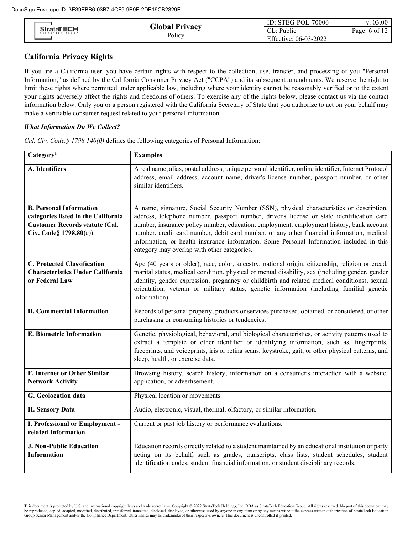| <b>StrataTECH</b><br>EDUCATION GROUP |                       | ID: STEG-POL-70006    | (0.03.00)       |
|--------------------------------------|-----------------------|-----------------------|-----------------|
|                                      | <b>Global Privacy</b> | .: Public             | Page: 6 of $12$ |
|                                      | Policy                | Effective: 06-03-2022 |                 |

# **California Privacy Rights**

If you are a California user, you have certain rights with respect to the collection, use, transfer, and processing of you "Personal Information," as defined by the California Consumer Privacy Act ("CCPA") and its subsequent amendments. We reserve the right to limit these rights where permitted under applicable law, including where your identity cannot be reasonably verified or to the extent your rights adversely affect the rights and freedoms of others. To exercise any of the rights below, please contact us via the contact information below. Only you or a person registered with the California Secretary of State that you authorize to act on your behalf may make a verifiable consumer request related to your personal information.

#### *What Information Do We Collect?*

| Categorical                                                                                                                               | <b>Examples</b>                                                                                                                                                                                                                                                                                                                                                                                                                                                                                                             |
|-------------------------------------------------------------------------------------------------------------------------------------------|-----------------------------------------------------------------------------------------------------------------------------------------------------------------------------------------------------------------------------------------------------------------------------------------------------------------------------------------------------------------------------------------------------------------------------------------------------------------------------------------------------------------------------|
| A. Identifiers                                                                                                                            | A real name, alias, postal address, unique personal identifier, online identifier, Internet Protocol<br>address, email address, account name, driver's license number, passport number, or other<br>similar identifiers.                                                                                                                                                                                                                                                                                                    |
| <b>B. Personal Information</b><br>categories listed in the California<br><b>Customer Records statute (Cal.</b><br>Civ. Code§ 1798.80(e)). | A name, signature, Social Security Number (SSN), physical characteristics or description,<br>address, telephone number, passport number, driver's license or state identification card<br>number, insurance policy number, education, employment, employment history, bank account<br>number, credit card number, debit card number, or any other financial information, medical<br>information, or health insurance information. Some Personal Information included in this<br>category may overlap with other categories. |
| <b>C. Protected Classification</b><br><b>Characteristics Under California</b><br>or Federal Law                                           | Age (40 years or older), race, color, ancestry, national origin, citizenship, religion or creed,<br>marital status, medical condition, physical or mental disability, sex (including gender, gender<br>identity, gender expression, pregnancy or childbirth and related medical conditions), sexual<br>orientation, veteran or military status, genetic information (including familial genetic<br>information).                                                                                                            |
| <b>D. Commercial Information</b>                                                                                                          | Records of personal property, products or services purchased, obtained, or considered, or other<br>purchasing or consuming histories or tendencies.                                                                                                                                                                                                                                                                                                                                                                         |
| <b>E. Biometric Information</b>                                                                                                           | Genetic, physiological, behavioral, and biological characteristics, or activity patterns used to<br>extract a template or other identifier or identifying information, such as, fingerprints,<br>faceprints, and voiceprints, iris or retina scans, keystroke, gait, or other physical patterns, and<br>sleep, health, or exercise data.                                                                                                                                                                                    |
| <b>F. Internet or Other Similar</b>                                                                                                       | Browsing history, search history, information on a consumer's interaction with a website,                                                                                                                                                                                                                                                                                                                                                                                                                                   |
| <b>Network Activity</b>                                                                                                                   | application, or advertisement.                                                                                                                                                                                                                                                                                                                                                                                                                                                                                              |
| G. Geolocation data                                                                                                                       | Physical location or movements.                                                                                                                                                                                                                                                                                                                                                                                                                                                                                             |
| <b>H. Sensory Data</b>                                                                                                                    | Audio, electronic, visual, thermal, olfactory, or similar information.                                                                                                                                                                                                                                                                                                                                                                                                                                                      |
| I. Professional or Employment -<br>related Information                                                                                    | Current or past job history or performance evaluations.                                                                                                                                                                                                                                                                                                                                                                                                                                                                     |
| <b>J. Non-Public Education</b><br><b>Information</b>                                                                                      | Education records directly related to a student maintained by an educational institution or party<br>acting on its behalf, such as grades, transcripts, class lists, student schedules, student<br>identification codes, student financial information, or student disciplinary records.                                                                                                                                                                                                                                    |

This document is protected by U.S. and international copyright laws and trade secret laws. Copyright © 2022 StrataTech Holdings, Inc. DBA as StrataTech Education Group. All rights reserved. No part of this document may<br>be Group Senior Management and/or the Compliance Department. Other names may be trademarks of their respective owners. This document is uncontrolled if printed.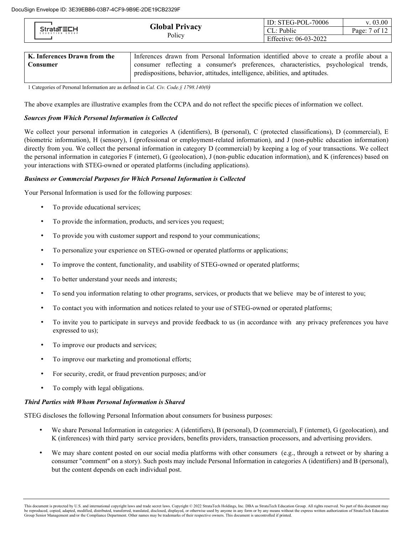| <b>StrataTECH</b><br>EDUCATION GROUP |                | ID: $STEG-POL-70006$  | v. 03.00        |
|--------------------------------------|----------------|-----------------------|-----------------|
|                                      | Global Privacy | : Public<br>CL: l     | Page: $7$ of 12 |
|                                      | Policy         | Effective: 06-03-2022 |                 |

| K. Inferences Drawn from the | Inferences drawn from Personal Information identified above to create a profile about a |  |
|------------------------------|-----------------------------------------------------------------------------------------|--|
| Consumer                     | consumer reflecting a consumer's preferences, characteristics, psychological trends,    |  |
|                              | predispositions, behavior, attitudes, intelligence, abilities, and aptitudes.           |  |

1 Categories of Personal Information are as defined in *Cal. Civ. Code.§ 1798.140(0)*

The above examples are illustrative examples from the CCPA and do not reflect the specific pieces of information we collect.

#### *Sources from Which Personal Information is Collected*

We collect your personal information in categories A (identifiers), B (personal), C (protected classifications), D (commercial), E (biometric information), H (sensory), I (professional or employment-related information), and J (non-public education information) directly from you. We collect the personal information in category D (commercial) by keeping a log of your transactions. We collect the personal information in categories F (internet), G (geolocation), J (non-public education information), and K (inferences) based on your interactions with STEG-owned or operated platforms (including applications).

#### *Business or Commercial Purposes for Which Personal Information is Collected*

Your Personal Information is used for the following purposes:

- To provide educational services;
- To provide the information, products, and services you request;
- To provide you with customer support and respond to your communications;
- To personalize your experience on STEG-owned or operated platforms or applications;
- To improve the content, functionality, and usability of STEG-owned or operated platforms;
- To better understand your needs and interests;
- To send you information relating to other programs, services, or products that we believe may be of interest to you;
- To contact you with information and notices related to your use of STEG-owned or operated platforms;
- To invite you to participate in surveys and provide feedback to us (in accordance with any privacy preferences you have expressed to us);
- To improve our products and services;
- To improve our marketing and promotional efforts;
- For security, credit, or fraud prevention purposes; and/or
- To comply with legal obligations.

#### *Third Parties with Whom Personal Information is Shared*

STEG discloses the following Personal Information about consumers for business purposes:

- We share Personal Information in categories: A (identifiers), B (personal), D (commercial), F (internet), G (geolocation), and K (inferences) with third party service providers, benefits providers, transaction processors, and advertising providers.
- We may share content posted on our social media platforms with other consumers (e.g., through a retweet or by sharing a consumer "comment" on a story). Such posts may include Personal Information in categories A (identifiers) and B (personal), but the content depends on each individual post.

This document is protected by U.S. and international copyright laws and trade secret laws. Copyright © 2022 StrataTech Holdings, Inc. DBA as StrataTech Education Group. All rights reserved. No part of this document may be reproduced, copied, adapted, modified, distributed, transferred, translated, disclosed, displayed, or otherwise used by anyone in any form or by any means without the express written authorization of StrataTech Educatio Group Senior Management and/or the Compliance Department. Other names may be trademarks of their respective owners. This document is uncontrolled if printed.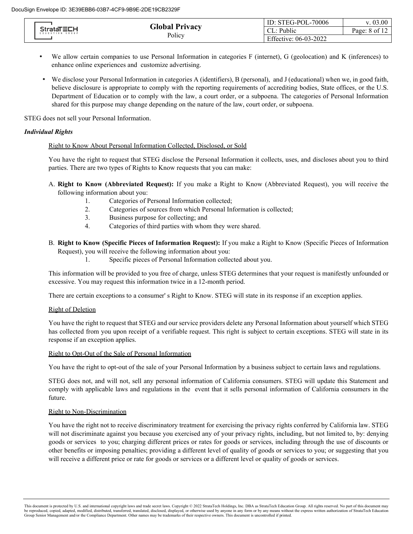| <b>StrataTECH</b><br>EDUCATION GROUP |                                     | ID: STEG-POL-70006    | v. 03.00 |
|--------------------------------------|-------------------------------------|-----------------------|----------|
|                                      | <b>Global Privacy</b><br>CL: Public | Page: 8 of 12         |          |
|                                      | Policy                              | Effective: 06-03-2022 |          |

- We allow certain companies to use Personal Information in categories F (internet), G (geolocation) and K (inferences) to enhance online experiences and customize advertising.
- We disclose your Personal Information in categories A (identifiers), B (personal), and J (educational) when we, in good faith, believe disclosure is appropriate to comply with the reporting requirements of accrediting bodies, State offices, or the U.S. Department of Education or to comply with the law, a court order, or a subpoena. The categories of Personal Information shared for this purpose may change depending on the nature of the law, court order, or subpoena.

STEG does not sell your Personal Information.

## *Individual Rights*

### Right to Know About Personal Information Collected, Disclosed, or Sold

You have the right to request that STEG disclose the Personal Information it collects, uses, and discloses about you to third parties. There are two types of Rights to Know requests that you can make:

- A. **Right to Know (Abbreviated Request):** If you make a Right to Know (Abbreviated Request), you will receive the following information about you:
	- 1. Categories of Personal Information collected;
	- 2. Categories of sources from which Personal Information is collected;
	- 3. Business purpose for collecting; and
	- 4. Categories of third parties with whom they were shared.
- B. **Right to Know (Specific Pieces of Information Request):** If you make a Right to Know (Specific Pieces of Information Request), you will receive the following information about you:
	- 1. Specific pieces of Personal Information collected about you.

This information will be provided to you free of charge, unless STEG determines that your request is manifestly unfounded or excessive. You may request this information twice in a 12-month period.

There are certain exceptions to a consumer' s Right to Know. STEG will state in its response if an exception applies.

# Right of Deletion

You have the right to request that STEG and our service providers delete any Personal Information about yourself which STEG has collected from you upon receipt of a verifiable request. This right is subject to certain exceptions. STEG will state in its response if an exception applies.

# Right to Opt-Out of the Sale of Personal Information

You have the right to opt-out of the sale of your Personal Information by a business subject to certain laws and regulations.

STEG does not, and will not, sell any personal information of California consumers. STEG will update this Statement and comply with applicable laws and regulations in the event that it sells personal information of California consumers in the future.

# Right to Non-Discrimination

You have the right not to receive discriminatory treatment for exercising the privacy rights conferred by California law. STEG will not discriminate against you because you exercised any of your privacy rights, including, but not limited to, by: denying goods or services to you; charging different prices or rates for goods or services, including through the use of discounts or other benefits or imposing penalties; providing a different level of quality of goods or services to you; or suggesting that you will receive a different price or rate for goods or services or a different level or quality of goods or services.

This document is protected by U.S. and international copyright laws and trade secret laws. Copyright © 2022 StrataTech Holdings, Inc. DBA as StrataTech Education Group. All rights reserved. No part of this document may be reproduced, copied, adapted, modified, distributed, transferred, translated, disclosed, displayed, or otherwise used by anyone in any form or by any means without the express written authorization of StrataTech Educatio Group Senior Management and/or the Compliance Department. Other names may be trademarks of their respective owners. This document is uncontrolled if printed.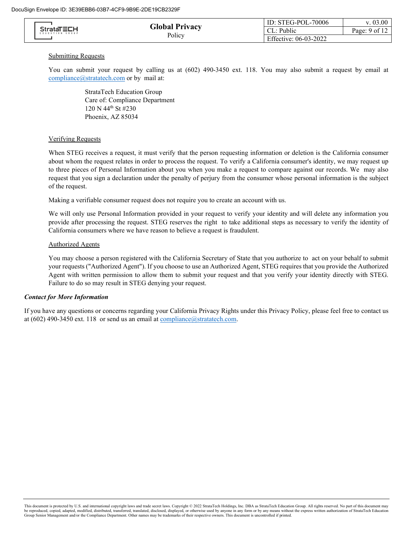|  | <b>StrataTECH</b><br>EDUCATION GROUP |                       | ID: STEG-POL-70006 | v. 03.00        |
|--|--------------------------------------|-----------------------|--------------------|-----------------|
|  |                                      | <b>Global Privacy</b> | $\cdot$ Public     | Page: $9$ of 12 |
|  | Policy                               | Effective: 06-03-2022 |                    |                 |

#### **Submitting Requests**

You can submit your request by calling us at (602) 490-3450 ext. 118. You may also submit a request by email at [compliance@stratatech.com](mailto:compliance@stratatech.com) or by mail at:

> StrataTech Education Group Care of: Compliance Department 120 N 44th St #230 Phoenix, AZ 85034

#### Verifying Requests

When STEG receives a request, it must verify that the person requesting information or deletion is the California consumer about whom the request relates in order to process the request. To verify a California consumer's identity, we may request up to three pieces of Personal Information about you when you make a request to compare against our records. We may also request that you sign a declaration under the penalty of perjury from the consumer whose personal information is the subject of the request.

Making a verifiable consumer request does not require you to create an account with us.

We will only use Personal Information provided in your request to verify your identity and will delete any information you provide after processing the request. STEG reserves the right to take additional steps as necessary to verify the identity of California consumers where we have reason to believe a request is fraudulent.

#### Authorized Agents

You may choose a person registered with the California Secretary of State that you authorize to act on your behalf to submit your requests ("Authorized Agent"). If you choose to use an Authorized Agent, STEG requires that you provide the Authorized Agent with written permission to allow them to submit your request and that you verify your identity directly with STEG. Failure to do so may result in STEG denying your request.

#### *Contact for More Information*

If you have any questions or concerns regarding your California Privacy Rights under this Privacy Policy, please feel free to contact us at (602) 490-3450 ext. 118 or send us an email at  $compliance( $\omega$ )stratatech.com.$ </u>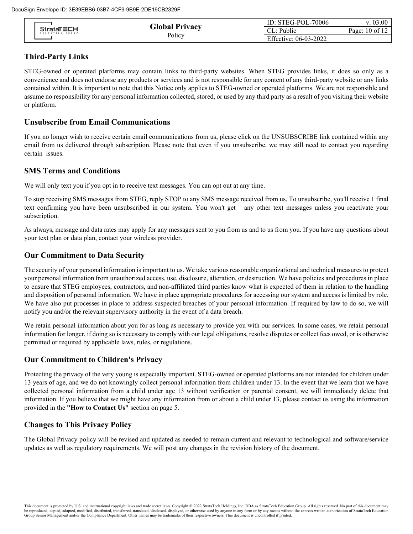|                  |                                            | ID: STEG-POL-70006    | v. 03.00       |
|------------------|--------------------------------------------|-----------------------|----------------|
| E DUCATION GROUP | <b>Global Privacy</b><br><b>StrataTECH</b> | Public                | Page: 10 of 12 |
|                  | Policy                                     | Effective: 06-03-2022 |                |

# **Third-Party Links**

STEG-owned or operated platforms may contain links to third-party websites. When STEG provides links, it does so only as a convenience and does not endorse any products or services and is not responsible for any content of any third-party website or any links contained within. It is important to note that this Notice only applies to STEG-owned or operated platforms. We are not responsible and assume no responsibility for any personal information collected, stored, or used by any third party as a result of you visiting their website or platform.

# **Unsubscribe from Email Communications**

If you no longer wish to receive certain email communications from us, please click on the UNSUBSCRIBE link contained within any email from us delivered through subscription. Please note that even if you unsubscribe, we may still need to contact you regarding certain issues.

# **SMS Terms and Conditions**

We will only text you if you opt in to receive text messages. You can opt out at any time.

To stop receiving SMS messages from STEG, reply STOP to any SMS message received from us. To unsubscribe, you'll receive 1 final text confirming you have been unsubscribed in our system. You won't get any other text messages unless you reactivate your subscription.

As always, message and data rates may apply for any messages sent to you from us and to us from you. If you have any questions about your text plan or data plan, contact your wireless provider.

# **Our Commitment to Data Security**

The security of your personal information is important to us. We take various reasonable organizational and technical measures to protect your personal information from unauthorized access, use, disclosure, alteration, or destruction. We have policies and procedures in place to ensure that STEG employees, contractors, and non-affiliated third parties know what is expected of them in relation to the handling and disposition of personal information. We have in place appropriate procedures for accessing our system and access is limited by role. We have also put processes in place to address suspected breaches of your personal information. If required by law to do so, we will notify you and/or the relevant supervisory authority in the event of a data breach.

We retain personal information about you for as long as necessary to provide you with our services. In some cases, we retain personal information for longer, if doing so is necessary to comply with our legal obligations, resolve disputes or collect fees owed, or is otherwise permitted or required by applicable laws, rules, or regulations.

# **Our Commitment to Children's Privacy**

Protecting the privacy of the very young is especially important. STEG-owned or operated platforms are not intended for children under 13 years of age, and we do not knowingly collect personal information from children under 13. In the event that we learn that we have collected personal information from a child under age 13 without verification or parental consent, we will immediately delete that information. If you believe that we might have any information from or about a child under 13, please contact us using the information provided in the **"How to Contact Us"** section on page 5.

# **Changes to This Privacy Policy**

The Global Privacy policy will be revised and updated as needed to remain current and relevant to technological and software/service updates as well as regulatory requirements. We will post any changes in the revision history of the document.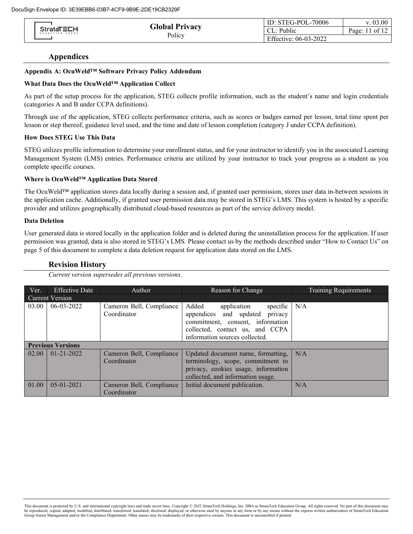|                                      | <b>Global Privacy</b> | ID: STEG-POL-70006    | v. 03.00                   |
|--------------------------------------|-----------------------|-----------------------|----------------------------|
| <b>StrataTECH</b><br>EDUCATION GROUP |                       | Public<br>. ULI 1     | 1 of 12<br>Pa <sub>2</sub> |
|                                      | Policy                | Effective: 06-03-2022 |                            |

### **Appendices**

#### **Appendix A: OcuWeld™ Software Privacy Policy Addendum**

#### **What Data Does the OcuWeld™ Application Collect**

As part of the setup process for the application, STEG collects profile information, such as the student's name and login credentials (categories A and B under CCPA definitions).

Through use of the application, STEG collects performance criteria, such as scores or badges earned per lesson, total time spent per lesson or step thereof, guidance level used, and the time and date of lesson completion (category J under CCPA definition).

#### **How Does STEG Use This Data**

STEG utilizes profile information to determine your enrollment status, and for your instructor to identify you in the associated Learning Management System (LMS) entries. Performance criteria are utilized by your instructor to track your progress as a student as you complete specific courses.

#### **Where is OcuWeld™ Application Data Stored**

The OcuWeld™ application stores data locally during a session and, if granted user permission, stores user data in-between sessions in the application cache. Additionally, if granted user permission data may be stored in STEG's LMS. This system is hosted by a specific provider and utilizes geographically distributed cloud-based resources as part of the service delivery model.

#### **Data Deletion**

User generated data is stored locally in the application folder and is deleted during the uninstallation process for the application. If user permission was granted, data is also stored in STEG's LMS. Please contact us by the methods described under "How to Contact Us" on page 5 of this document to complete a data deletion request for application data stored on the LMS.

#### **Revision History**

*Current version supersedes all previous versions.*

| Ver.            | <b>Effective Date</b>    | Author                                  | Reason for Change                                                                                                                                                                    | Training Requirements |
|-----------------|--------------------------|-----------------------------------------|--------------------------------------------------------------------------------------------------------------------------------------------------------------------------------------|-----------------------|
| Current Version |                          |                                         |                                                                                                                                                                                      |                       |
| 03.00           | $06 - 03 - 2022$         | Cameron Bell, Compliance<br>Coordinator | Added<br>specific $N/A$<br>application<br>appendices and updated<br>privacy<br>commitment, consent, information<br>collected, contact us, and CCPA<br>information sources collected. |                       |
|                 | <b>Previous Versions</b> |                                         |                                                                                                                                                                                      |                       |
| 02.00           | $01 - 21 - 2022$         | Cameron Bell, Compliance<br>Coordinator | Updated document name, formatting,<br>terminology, scope, commitment to<br>privacy, cookies usage, information<br>collected, and information usage.                                  | N/A                   |
| 01.00           | $05 - 01 - 2021$         | Cameron Bell, Compliance<br>Coordinator | Initial document publication.                                                                                                                                                        | N/A                   |

This document is protected by U.S. and international copyright laws and trade secret laws. Copyright © 2022 StrataTech Holdings, Inc. DBA as StrataTech Education Group. All rights reserved. No part of this document may<br>be Group Senior Management and/or the Compliance Department. Other names may be trademarks of their respective owners. This document is uncontrolled if printed.